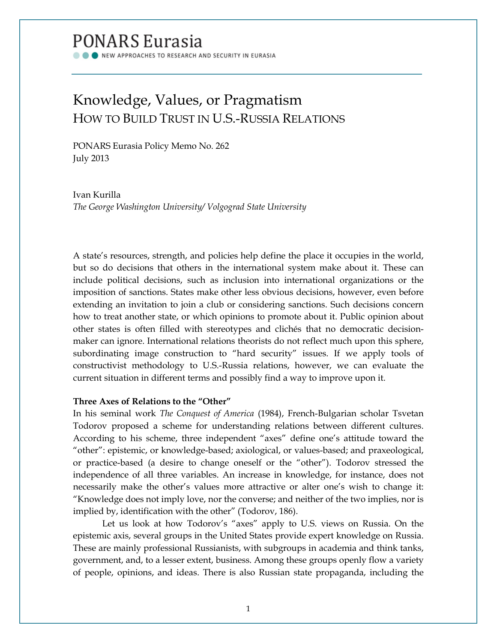# **PONARS Eurasia**

NEW APPROACHES TO RESEARCH AND SECURITY IN EURASIA

## Knowledge, Values, or Pragmatism HOW TO BUILD TRUST IN U.S.-RUSSIA RELATIONS

PONARS Eurasia Policy Memo No. 262 July 2013

Ivan Kurilla *The George Washington University/ Volgograd State University*

A state's resources, strength, and policies help define the place it occupies in the world, but so do decisions that others in the international system make about it. These can include political decisions, such as inclusion into international organizations or the imposition of sanctions. States make other less obvious decisions, however, even before extending an invitation to join a club or considering sanctions. Such decisions concern how to treat another state, or which opinions to promote about it. Public opinion about other states is often filled with stereotypes and clichés that no democratic decisionmaker can ignore. International relations theorists do not reflect much upon this sphere, subordinating image construction to "hard security" issues. If we apply tools of constructivist methodology to U.S.-Russia relations, however, we can evaluate the current situation in different terms and possibly find a way to improve upon it.

## **Three Axes of Relations to the "Other"**

In his seminal work *The Conquest of America* (1984), French-Bulgarian scholar Tsvetan Todorov proposed a scheme for understanding relations between different cultures. According to his scheme, three independent "axes" define one's attitude toward the "other": epistemic, or knowledge-based; axiological, or values-based; and praxeological, or practice-based (a desire to change oneself or the "other"). Todorov stressed the independence of all three variables. An increase in knowledge, for instance, does not necessarily make the other's values more attractive or alter one's wish to change it: "Knowledge does not imply love, nor the converse; and neither of the two implies, nor is implied by, identification with the other" (Todorov, 186).

Let us look at how Todorov's "axes" apply to U.S. views on Russia. On the epistemic axis, several groups in the United States provide expert knowledge on Russia. These are mainly professional Russianists, with subgroups in academia and think tanks, government, and, to a lesser extent, business. Among these groups openly flow a variety of people, opinions, and ideas. There is also Russian state propaganda, including the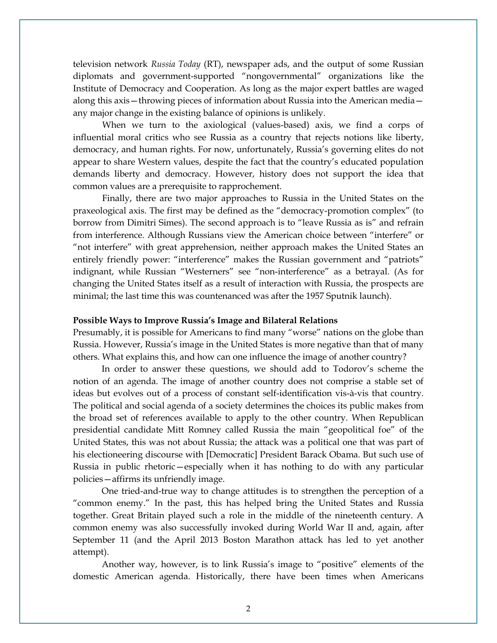television network *Russia Today* (RT), newspaper ads, and the output of some Russian diplomats and government-supported "nongovernmental" organizations like the Institute of Democracy and Cooperation. As long as the major expert battles are waged along this axis—throwing pieces of information about Russia into the American media any major change in the existing balance of opinions is unlikely.

When we turn to the axiological (values-based) axis, we find a corps of influential moral critics who see Russia as a country that rejects notions like liberty, democracy, and human rights. For now, unfortunately, Russia's governing elites do not appear to share Western values, despite the fact that the country's educated population demands liberty and democracy. However, history does not support the idea that common values are a prerequisite to rapprochement.

Finally, there are two major approaches to Russia in the United States on the praxeological axis. The first may be defined as the "democracy-promotion complex" (to borrow from Dimitri Simes). The second approach is to "leave Russia as is" and refrain from interference. Although Russians view the American choice between "interfere" or "not interfere" with great apprehension, neither approach makes the United States an entirely friendly power: "interference" makes the Russian government and "patriots" indignant, while Russian "Westerners" see "non-interference" as a betrayal. (As for changing the United States itself as a result of interaction with Russia, the prospects are minimal; the last time this was countenanced was after the 1957 Sputnik launch).

#### **Possible Ways to Improve Russia's Image and Bilateral Relations**

Presumably, it is possible for Americans to find many "worse" nations on the globe than Russia. However, Russia's image in the United States is more negative than that of many others. What explains this, and how can one influence the image of another country?

In order to answer these questions, we should add to Todorov's scheme the notion of an agenda. The image of another country does not comprise a stable set of ideas but evolves out of a process of constant self-identification vis-à-vis that country. The political and social agenda of a society determines the choices its public makes from the broad set of references available to apply to the other country. When Republican presidential candidate Mitt Romney called Russia the main "geopolitical foe" of the United States, this was not about Russia; the attack was a political one that was part of his electioneering discourse with [Democratic] President Barack Obama. But such use of Russia in public rhetoric—especially when it has nothing to do with any particular policies—affirms its unfriendly image.

One tried-and-true way to change attitudes is to strengthen the perception of a "common enemy." In the past, this has helped bring the United States and Russia together. Great Britain played such a role in the middle of the nineteenth century. A common enemy was also successfully invoked during World War II and, again, after September 11 (and the April 2013 Boston Marathon attack has led to yet another attempt).

Another way, however, is to link Russia's image to "positive" elements of the domestic American agenda. Historically, there have been times when Americans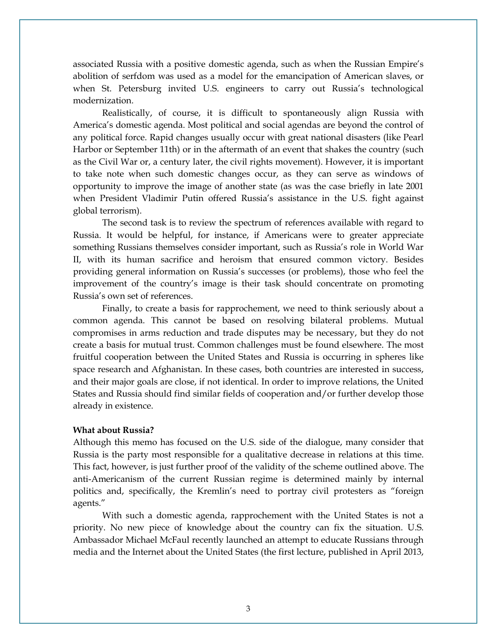associated Russia with a positive domestic agenda, such as when the Russian Empire's abolition of serfdom was used as a model for the emancipation of American slaves, or when St. Petersburg invited U.S. engineers to carry out Russia's technological modernization.

Realistically, of course, it is difficult to spontaneously align Russia with America's domestic agenda. Most political and social agendas are beyond the control of any political force. Rapid changes usually occur with great national disasters (like Pearl Harbor or September 11th) or in the aftermath of an event that shakes the country (such as the Civil War or, a century later, the civil rights movement). However, it is important to take note when such domestic changes occur, as they can serve as windows of opportunity to improve the image of another state (as was the case briefly in late 2001 when President Vladimir Putin offered Russia's assistance in the U.S. fight against global terrorism).

The second task is to review the spectrum of references available with regard to Russia. It would be helpful, for instance, if Americans were to greater appreciate something Russians themselves consider important, such as Russia's role in World War II, with its human sacrifice and heroism that ensured common victory. Besides providing general information on Russia's successes (or problems), those who feel the improvement of the country's image is their task should concentrate on promoting Russia's own set of references.

Finally, to create a basis for rapprochement, we need to think seriously about a common agenda. This cannot be based on resolving bilateral problems. Mutual compromises in arms reduction and trade disputes may be necessary, but they do not create a basis for mutual trust. Common challenges must be found elsewhere. The most fruitful cooperation between the United States and Russia is occurring in spheres like space research and Afghanistan. In these cases, both countries are interested in success, and their major goals are close, if not identical. In order to improve relations, the United States and Russia should find similar fields of cooperation and/or further develop those already in existence.

### **What about Russia?**

Although this memo has focused on the U.S. side of the dialogue, many consider that Russia is the party most responsible for a qualitative decrease in relations at this time. This fact, however, is just further proof of the validity of the scheme outlined above. The anti-Americanism of the current Russian regime is determined mainly by internal politics and, specifically, the Kremlin's need to portray civil protesters as "foreign agents."

With such a domestic agenda, rapprochement with the United States is not a priority. No new piece of knowledge about the country can fix the situation. U.S. Ambassador Michael McFaul recently launched an attempt to educate Russians through media and the Internet about the United States (the first lecture, published in April 2013,